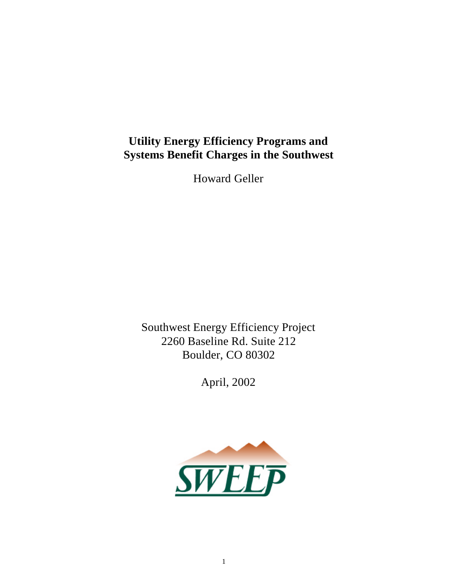# **Utility Energy Efficiency Programs and Systems Benefit Charges in the Southwest**

Howard Geller

Southwest Energy Efficiency Project 2260 Baseline Rd. Suite 212 Boulder, CO 80302

April, 2002

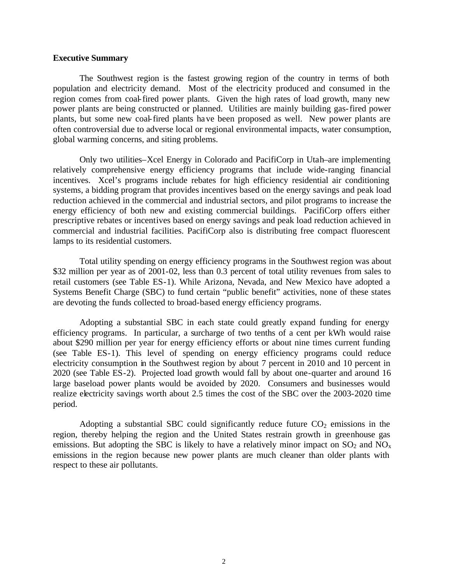#### **Executive Summary**

The Southwest region is the fastest growing region of the country in terms of both population and electricity demand. Most of the electricity produced and consumed in the region comes from coal-fired power plants. Given the high rates of load growth, many new power plants are being constructed or planned. Utilities are mainly building gas-fired power plants, but some new coal-fired plants have been proposed as well. New power plants are often controversial due to adverse local or regional environmental impacts, water consumption, global warming concerns, and siting problems.

Only two utilities–Xcel Energy in Colorado and PacifiCorp in Utah–are implementing relatively comprehensive energy efficiency programs that include wide-ranging financial incentives. Xcel's programs include rebates for high efficiency residential air conditioning systems, a bidding program that provides incentives based on the energy savings and peak load reduction achieved in the commercial and industrial sectors, and pilot programs to increase the energy efficiency of both new and existing commercial buildings. PacifiCorp offers either prescriptive rebates or incentives based on energy savings and peak load reduction achieved in commercial and industrial facilities. PacifiCorp also is distributing free compact fluorescent lamps to its residential customers.

Total utility spending on energy efficiency programs in the Southwest region was about \$32 million per year as of 2001-02, less than 0.3 percent of total utility revenues from sales to retail customers (see Table ES-1). While Arizona, Nevada, and New Mexico have adopted a Systems Benefit Charge (SBC) to fund certain "public benefit" activities, none of these states are devoting the funds collected to broad-based energy efficiency programs.

Adopting a substantial SBC in each state could greatly expand funding for energy efficiency programs. In particular, a surcharge of two tenths of a cent per kWh would raise about \$290 million per year for energy efficiency efforts or about nine times current funding (see Table ES-1). This level of spending on energy efficiency programs could reduce electricity consumption in the Southwest region by about 7 percent in 2010 and 10 percent in 2020 (see Table ES-2). Projected load growth would fall by about one-quarter and around 16 large baseload power plants would be avoided by 2020. Consumers and businesses would realize electricity savings worth about 2.5 times the cost of the SBC over the 2003-2020 time period.

Adopting a substantial SBC could significantly reduce future  $CO<sub>2</sub>$  emissions in the region, thereby helping the region and the United States restrain growth in greenhouse gas emissions. But adopting the SBC is likely to have a relatively minor impact on  $SO_2$  and  $NO_x$ emissions in the region because new power plants are much cleaner than older plants with respect to these air pollutants.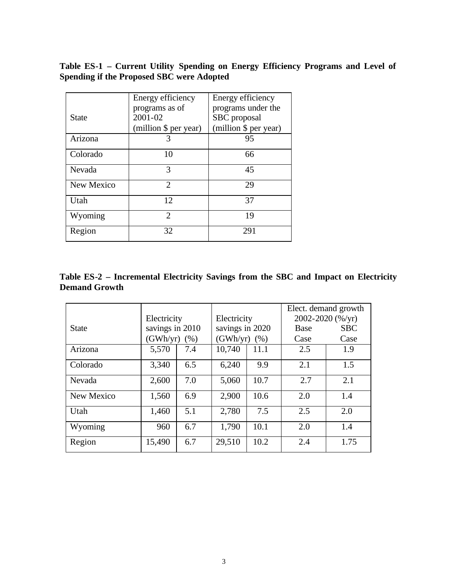**Table ES-1 – Current Utility Spending on Energy Efficiency Programs and Level of Spending if the Proposed SBC were Adopted**

|            | Energy efficiency     | Energy efficiency     |
|------------|-----------------------|-----------------------|
|            | programs as of        | programs under the    |
| State      | 2001-02               | SBC proposal          |
|            | (million \$ per year) | (million \$ per year) |
| Arizona    | 3                     | 95                    |
| Colorado   | 10                    | 66                    |
| Nevada     | 3                     | 45                    |
| New Mexico | $\mathcal{D}_{\cdot}$ | 29                    |
| Utah       | 12                    | 37                    |
| Wyoming    | $\mathcal{D}_{\cdot}$ | 19                    |
| Region     | 32                    | 291                   |

| Table ES-2 – Incremental Electricity Savings from the SBC and Impact on Electricity |  |  |  |  |  |  |
|-------------------------------------------------------------------------------------|--|--|--|--|--|--|
| <b>Demand Growth</b>                                                                |  |  |  |  |  |  |

|              |                 |     |                 |                  | Elect. demand growth |                  |
|--------------|-----------------|-----|-----------------|------------------|----------------------|------------------|
|              | Electricity     |     |                 | Electricity      |                      | 2002-2020 (%/yr) |
| <b>State</b> | savings in 2010 |     | savings in 2020 |                  | Base                 | <b>SBC</b>       |
|              | $(GWh/yr)$ (%)  |     |                 | (GWh/yr)<br>(% ) |                      | Case             |
| Arizona      | 5,570           | 7.4 | 10,740          | 11.1             | 2.5                  | 1.9              |
| Colorado     | 3,340           | 6.5 | 6,240           | 9.9              | 2.1                  | 1.5              |
| Nevada       | 2,600           | 7.0 | 5,060           | 10.7             | 2.7                  | 2.1              |
| New Mexico   | 1,560           | 6.9 | 2,900           | 10.6             | 2.0                  | 1.4              |
| Utah         | 1,460           | 5.1 | 2,780           | 7.5              | 2.5                  | 2.0              |
| Wyoming      | 960             | 6.7 | 1,790           | 10.1             | 2.0                  | 1.4              |
| Region       | 15,490          | 6.7 | 29,510          | 10.2             | 2.4                  | 1.75             |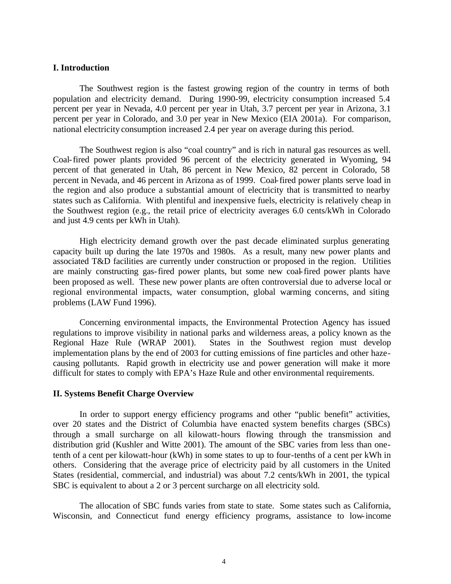#### **I. Introduction**

The Southwest region is the fastest growing region of the country in terms of both population and electricity demand. During 1990-99, electricity consumption increased 5.4 percent per year in Nevada, 4.0 percent per year in Utah, 3.7 percent per year in Arizona, 3.1 percent per year in Colorado, and 3.0 per year in New Mexico (EIA 2001a). For comparison, national electricity consumption increased 2.4 per year on average during this period.

The Southwest region is also "coal country" and is rich in natural gas resources as well. Coal-fired power plants provided 96 percent of the electricity generated in Wyoming, 94 percent of that generated in Utah, 86 percent in New Mexico, 82 percent in Colorado, 58 percent in Nevada, and 46 percent in Arizona as of 1999. Coal-fired power plants serve load in the region and also produce a substantial amount of electricity that is transmitted to nearby states such as California. With plentiful and inexpensive fuels, electricity is relatively cheap in the Southwest region (e.g., the retail price of electricity averages 6.0 cents/kWh in Colorado and just 4.9 cents per kWh in Utah).

High electricity demand growth over the past decade eliminated surplus generating capacity built up during the late 1970s and 1980s. As a result, many new power plants and associated T&D facilities are currently under construction or proposed in the region. Utilities are mainly constructing gas-fired power plants, but some new coal-fired power plants have been proposed as well. These new power plants are often controversial due to adverse local or regional environmental impacts, water consumption, global warming concerns, and siting problems (LAW Fund 1996).

Concerning environmental impacts, the Environmental Protection Agency has issued regulations to improve visibility in national parks and wilderness areas, a policy known as the Regional Haze Rule (WRAP 2001). States in the Southwest region must develop implementation plans by the end of 2003 for cutting emissions of fine particles and other hazecausing pollutants. Rapid growth in electricity use and power generation will make it more difficult for states to comply with EPA's Haze Rule and other environmental requirements.

#### **II. Systems Benefit Charge Overview**

In order to support energy efficiency programs and other "public benefit" activities, over 20 states and the District of Columbia have enacted system benefits charges (SBCs) through a small surcharge on all kilowatt-hours flowing through the transmission and distribution grid (Kushler and Witte 2001). The amount of the SBC varies from less than onetenth of a cent per kilowatt-hour (kWh) in some states to up to four-tenths of a cent per kWh in others. Considering that the average price of electricity paid by all customers in the United States (residential, commercial, and industrial) was about 7.2 cents/kWh in 2001, the typical SBC is equivalent to about a 2 or 3 percent surcharge on all electricity sold.

The allocation of SBC funds varies from state to state. Some states such as California, Wisconsin, and Connecticut fund energy efficiency programs, assistance to low-income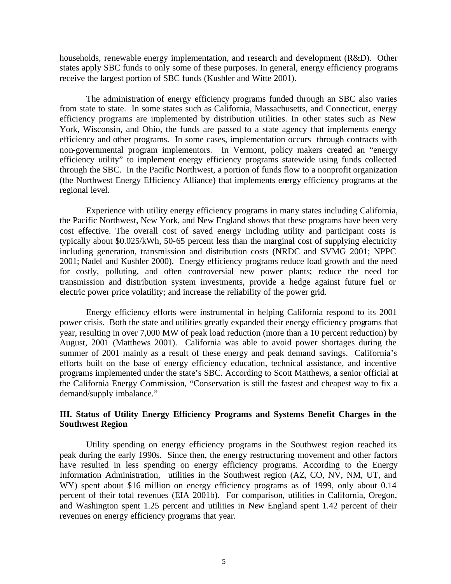households, renewable energy implementation, and research and development (R&D). Other states apply SBC funds to only some of these purposes. In general, energy efficiency programs receive the largest portion of SBC funds (Kushler and Witte 2001).

The administration of energy efficiency programs funded through an SBC also varies from state to state. In some states such as California, Massachusetts, and Connecticut, energy efficiency programs are implemented by distribution utilities. In other states such as New York, Wisconsin, and Ohio, the funds are passed to a state agency that implements energy efficiency and other programs. In some cases, implementation occurs through contracts with non-governmental program implementors. In Vermont, policy makers created an "energy efficiency utility" to implement energy efficiency programs statewide using funds collected through the SBC. In the Pacific Northwest, a portion of funds flow to a nonprofit organization (the Northwest Energy Efficiency Alliance) that implements energy efficiency programs at the regional level.

Experience with utility energy efficiency programs in many states including California, the Pacific Northwest, New York, and New England shows that these programs have been very cost effective. The overall cost of saved energy including utility and participant costs is typically about \$0.025/kWh, 50-65 percent less than the marginal cost of supplying electricity including generation, transmission and distribution costs (NRDC and SVMG 2001; NPPC 2001; Nadel and Kushler 2000). Energy efficiency programs reduce load growth and the need for costly, polluting, and often controversial new power plants; reduce the need for transmission and distribution system investments, provide a hedge against future fuel or electric power price volatility; and increase the reliability of the power grid.

Energy efficiency efforts were instrumental in helping California respond to its 2001 power crisis. Both the state and utilities greatly expanded their energy efficiency programs that year, resulting in over 7,000 MW of peak load reduction (more than a 10 percent reduction) by August, 2001 (Matthews 2001). California was able to avoid power shortages during the summer of 2001 mainly as a result of these energy and peak demand savings. California's efforts built on the base of energy efficiency education, technical assistance, and incentive programs implemented under the state's SBC. According to Scott Matthews, a senior official at the California Energy Commission, "Conservation is still the fastest and cheapest way to fix a demand/supply imbalance."

# **III. Status of Utility Energy Efficiency Programs and Systems Benefit Charges in the Southwest Region**

Utility spending on energy efficiency programs in the Southwest region reached its peak during the early 1990s. Since then, the energy restructuring movement and other factors have resulted in less spending on energy efficiency programs. According to the Energy Information Administration, utilities in the Southwest region (AZ, CO, NV, NM, UT, and WY) spent about \$16 million on energy efficiency programs as of 1999, only about 0.14 percent of their total revenues (EIA 2001b). For comparison, utilities in California, Oregon, and Washington spent 1.25 percent and utilities in New England spent 1.42 percent of their revenues on energy efficiency programs that year.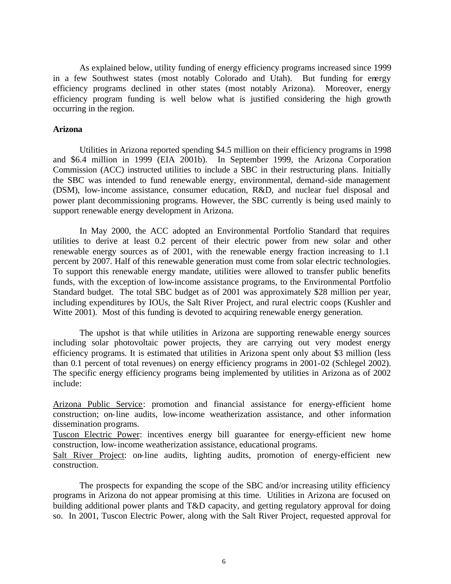As explained below, utility funding of energy efficiency programs increased since 1999 in a few Southwest states (most notably Colorado and Utah). But funding for energy efficiency programs declined in other states (most notably Arizona). Moreover, energy efficiency program funding is well below what is justified considering the high growth occurring in the region.

#### **Arizona**

Utilities in Arizona reported spending \$4.5 million on their efficiency programs in 1998 and \$6.4 million in 1999 (EIA 2001b). In September 1999, the Arizona Corporation Commission (ACC) instructed utilities to include a SBC in their restructuring plans. Initially the SBC was intended to fund renewable energy, environmental, demand-side management (DSM), low-income assistance, consumer education, R&D, and nuclear fuel disposal and power plant decommissioning programs. However, the SBC currently is being used mainly to support renewable energy development in Arizona.

In May 2000, the ACC adopted an Environmental Portfolio Standard that requires utilities to derive at least 0.2 percent of their electric power from new solar and other renewable energy sources as of 2001, with the renewable energy fraction increasing to 1.1 percent by 2007. Half of this renewable generation must come from solar electric technologies. To support this renewable energy mandate, utilities were allowed to transfer public benefits funds, with the exception of low-income assistance programs, to the Environmental Portfolio Standard budget. The total SBC budget as of 2001 was approximately \$28 million per year, including expenditures by IOUs, the Salt River Project, and rural electric coops (Kushler and Witte 2001). Most of this funding is devoted to acquiring renewable energy generation.

The upshot is that while utilities in Arizona are supporting renewable energy sources including solar photovoltaic power projects, they are carrying out very modest energy efficiency programs. It is estimated that utilities in Arizona spent only about \$3 million (less than 0.1 percent of total revenues) on energy efficiency programs in 2001-02 (Schlegel 2002). The specific energy efficiency programs being implemented by utilities in Arizona as of 2002 include:

Arizona Public Service: promotion and financial assistance for energy-efficient home construction; on-line audits, low-income weatherization assistance, and other information dissemination programs.

Tuscon Electric Power: incentives energy bill guarantee for energy-efficient new home construction, low-income weatherization assistance, educational programs.

Salt River Project: on-line audits, lighting audits, promotion of energy-efficient new construction.

The prospects for expanding the scope of the SBC and/or increasing utility efficiency programs in Arizona do not appear promising at this time. Utilities in Arizona are focused on building additional power plants and T&D capacity, and getting regulatory approval for doing so. In 2001, Tuscon Electric Power, along with the Salt River Project, requested approval for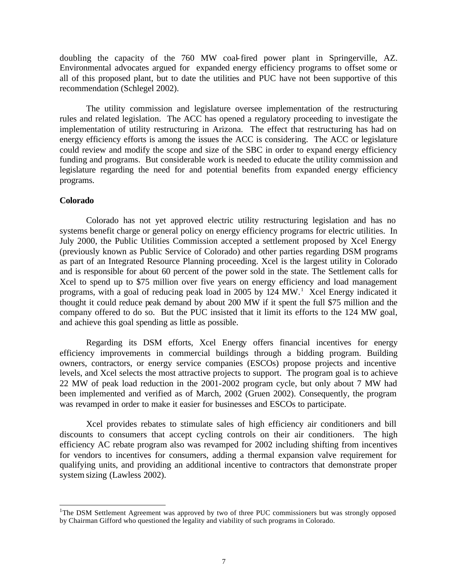doubling the capacity of the 760 MW coal-fired power plant in Springerville, AZ. Environmental advocates argued for expanded energy efficiency programs to offset some or all of this proposed plant, but to date the utilities and PUC have not been supportive of this recommendation (Schlegel 2002).

The utility commission and legislature oversee implementation of the restructuring rules and related legislation. The ACC has opened a regulatory proceeding to investigate the implementation of utility restructuring in Arizona. The effect that restructuring has had on energy efficiency efforts is among the issues the ACC is considering. The ACC or legislature could review and modify the scope and size of the SBC in order to expand energy efficiency funding and programs. But considerable work is needed to educate the utility commission and legislature regarding the need for and potential benefits from expanded energy efficiency programs.

#### **Colorado**

l

Colorado has not yet approved electric utility restructuring legislation and has no systems benefit charge or general policy on energy efficiency programs for electric utilities. In July 2000, the Public Utilities Commission accepted a settlement proposed by Xcel Energy (previously known as Public Service of Colorado) and other parties regarding DSM programs as part of an Integrated Resource Planning proceeding. Xcel is the largest utility in Colorado and is responsible for about 60 percent of the power sold in the state. The Settlement calls for Xcel to spend up to \$75 million over five years on energy efficiency and load management programs, with a goal of reducing peak load in 2005 by 124 MW.<sup>1</sup> Xcel Energy indicated it thought it could reduce peak demand by about 200 MW if it spent the full \$75 million and the company offered to do so. But the PUC insisted that it limit its efforts to the 124 MW goal, and achieve this goal spending as little as possible.

Regarding its DSM efforts, Xcel Energy offers financial incentives for energy efficiency improvements in commercial buildings through a bidding program. Building owners, contractors, or energy service companies (ESCOs) propose projects and incentive levels, and Xcel selects the most attractive projects to support. The program goal is to achieve 22 MW of peak load reduction in the 2001-2002 program cycle, but only about 7 MW had been implemented and verified as of March, 2002 (Gruen 2002). Consequently, the program was revamped in order to make it easier for businesses and ESCOs to participate.

Xcel provides rebates to stimulate sales of high efficiency air conditioners and bill discounts to consumers that accept cycling controls on their air conditioners. The high efficiency AC rebate program also was revamped for 2002 including shifting from incentives for vendors to incentives for consumers, adding a thermal expansion valve requirement for qualifying units, and providing an additional incentive to contractors that demonstrate proper system sizing (Lawless 2002).

<sup>&</sup>lt;sup>1</sup>The DSM Settlement Agreement was approved by two of three PUC commissioners but was strongly opposed by Chairman Gifford who questioned the legality and viability of such programs in Colorado.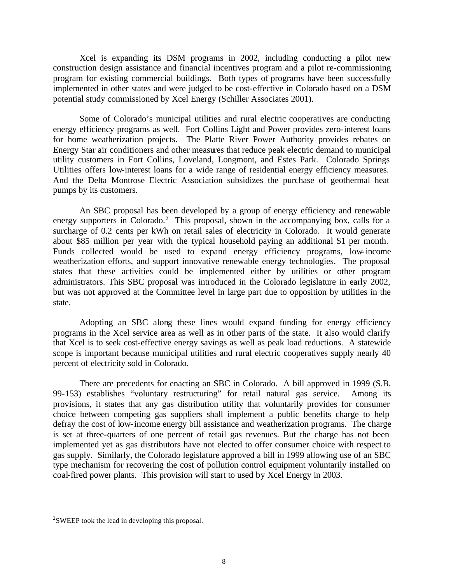Xcel is expanding its DSM programs in 2002, including conducting a pilot new construction design assistance and financial incentives program and a pilot re-commissioning program for existing commercial buildings. Both types of programs have been successfully implemented in other states and were judged to be cost-effective in Colorado based on a DSM potential study commissioned by Xcel Energy (Schiller Associates 2001).

Some of Colorado's municipal utilities and rural electric cooperatives are conducting energy efficiency programs as well. Fort Collins Light and Power provides zero-interest loans for home weatherization projects. The Platte River Power Authority provides rebates on Energy Star air conditioners and other measures that reduce peak electric demand to municipal utility customers in Fort Collins, Loveland, Longmont, and Estes Park. Colorado Springs Utilities offers low-interest loans for a wide range of residential energy efficiency measures. And the Delta Montrose Electric Association subsidizes the purchase of geothermal heat pumps by its customers.

An SBC proposal has been developed by a group of energy efficiency and renewable energy supporters in Colorado.<sup>2</sup> This proposal, shown in the accompanying box, calls for a surcharge of 0.2 cents per kWh on retail sales of electricity in Colorado. It would generate about \$85 million per year with the typical household paying an additional \$1 per month. Funds collected would be used to expand energy efficiency programs, low-income weatherization efforts, and support innovative renewable energy technologies. The proposal states that these activities could be implemented either by utilities or other program administrators. This SBC proposal was introduced in the Colorado legislature in early 2002, but was not approved at the Committee level in large part due to opposition by utilities in the state.

Adopting an SBC along these lines would expand funding for energy efficiency programs in the Xcel service area as well as in other parts of the state. It also would clarify that Xcel is to seek cost-effective energy savings as well as peak load reductions. A statewide scope is important because municipal utilities and rural electric cooperatives supply nearly 40 percent of electricity sold in Colorado.

There are precedents for enacting an SBC in Colorado. A bill approved in 1999 (S.B. 99-153) establishes "voluntary restructuring" for retail natural gas service. Among its provisions, it states that any gas distribution utility that voluntarily provides for consumer choice between competing gas suppliers shall implement a public benefits charge to help defray the cost of low-income energy bill assistance and weatherization programs. The charge is set at three-quarters of one percent of retail gas revenues. But the charge has not been implemented yet as gas distributors have not elected to offer consumer choice with respect to gas supply. Similarly, the Colorado legislature approved a bill in 1999 allowing use of an SBC type mechanism for recovering the cost of pollution control equipment voluntarily installed on coal-fired power plants. This provision will start to used by Xcel Energy in 2003.

<sup>&</sup>lt;sup>2</sup> SWEEP took the lead in developing this proposal.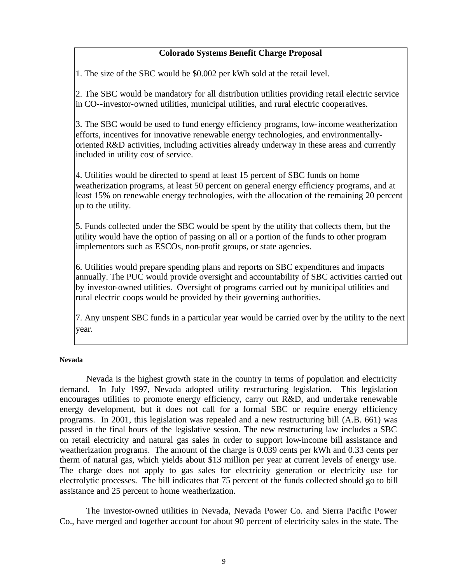# **Colorado Systems Benefit Charge Proposal**

1. The size of the SBC would be \$0.002 per kWh sold at the retail level.

2. The SBC would be mandatory for all distribution utilities providing retail electric service in CO--investor-owned utilities, municipal utilities, and rural electric cooperatives.

3. The SBC would be used to fund energy efficiency programs, low-income weatherization efforts, incentives for innovative renewable energy technologies, and environmentallyoriented R&D activities, including activities already underway in these areas and currently included in utility cost of service.

4. Utilities would be directed to spend at least 15 percent of SBC funds on home weatherization programs, at least 50 percent on general energy efficiency programs, and at least 15% on renewable energy technologies, with the allocation of the remaining 20 percent up to the utility.

5. Funds collected under the SBC would be spent by the utility that collects them, but the utility would have the option of passing on all or a portion of the funds to other program implementors such as ESCOs, non-profit groups, or state agencies.

6. Utilities would prepare spending plans and reports on SBC expenditures and impacts annually. The PUC would provide oversight and accountability of SBC activities carried out by investor-owned utilities. Oversight of programs carried out by municipal utilities and rural electric coops would be provided by their governing authorities.

7. Any unspent SBC funds in a particular year would be carried over by the utility to the next year.

## **Nevada**

Nevada is the highest growth state in the country in terms of population and electricity demand. In July 1997, Nevada adopted utility restructuring legislation. This legislation encourages utilities to promote energy efficiency, carry out R&D, and undertake renewable energy development, but it does not call for a formal SBC or require energy efficiency programs. In 2001, this legislation was repealed and a new restructuring bill (A.B. 661) was passed in the final hours of the legislative session. The new restructuring law includes a SBC on retail electricity and natural gas sales in order to support low-income bill assistance and weatherization programs. The amount of the charge is 0.039 cents per kWh and 0.33 cents per therm of natural gas, which yields about \$13 million per year at current levels of energy use. The charge does not apply to gas sales for electricity generation or electricity use for electrolytic processes. The bill indicates that 75 percent of the funds collected should go to bill assistance and 25 percent to home weatherization.

The investor-owned utilities in Nevada, Nevada Power Co. and Sierra Pacific Power Co., have merged and together account for about 90 percent of electricity sales in the state. The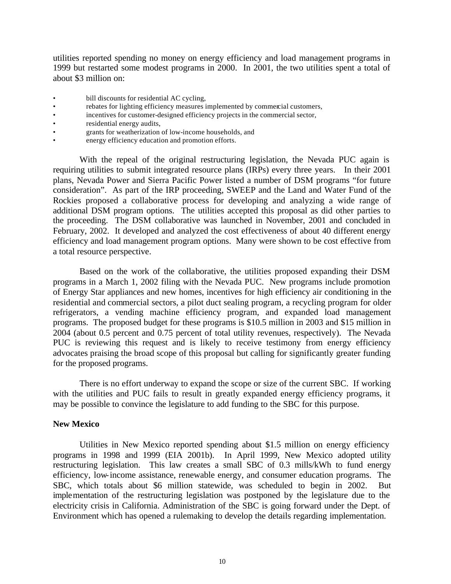utilities reported spending no money on energy efficiency and load management programs in 1999 but restarted some modest programs in 2000. In 2001, the two utilities spent a total of about \$3 million on:

- bill discounts for residential AC cycling,
- rebates for lighting efficiency measures implemented by commercial customers,
- incentives for customer-designed efficiency projects in the commercial sector,
- residential energy audits,
- grants for weatherization of low-income households, and
- energy efficiency education and promotion efforts.

With the repeal of the original restructuring legislation, the Nevada PUC again is requiring utilities to submit integrated resource plans (IRPs) every three years. In their 2001 plans, Nevada Power and Sierra Pacific Power listed a number of DSM programs "for future consideration". As part of the IRP proceeding, SWEEP and the Land and Water Fund of the Rockies proposed a collaborative process for developing and analyzing a wide range of additional DSM program options. The utilities accepted this proposal as did other parties to the proceeding. The DSM collaborative was launched in November, 2001 and concluded in February, 2002. It developed and analyzed the cost effectiveness of about 40 different energy efficiency and load management program options. Many were shown to be cost effective from a total resource perspective.

Based on the work of the collaborative, the utilities proposed expanding their DSM programs in a March 1, 2002 filing with the Nevada PUC. New programs include promotion of Energy Star appliances and new homes, incentives for high efficiency air conditioning in the residential and commercial sectors, a pilot duct sealing program, a recycling program for older refrigerators, a vending machine efficiency program, and expanded load management programs. The proposed budget for these programs is \$10.5 million in 2003 and \$15 million in 2004 (about 0.5 percent and 0.75 percent of total utility revenues, respectively). The Nevada PUC is reviewing this request and is likely to receive testimony from energy efficiency advocates praising the broad scope of this proposal but calling for significantly greater funding for the proposed programs.

There is no effort underway to expand the scope or size of the current SBC. If working with the utilities and PUC fails to result in greatly expanded energy efficiency programs, it may be possible to convince the legislature to add funding to the SBC for this purpose.

#### **New Mexico**

Utilities in New Mexico reported spending about \$1.5 million on energy efficiency programs in 1998 and 1999 (EIA 2001b). In April 1999, New Mexico adopted utility restructuring legislation. This law creates a small SBC of 0.3 mills/kWh to fund energy efficiency, low-income assistance, renewable energy, and consumer education programs. The SBC, which totals about \$6 million statewide, was scheduled to begin in 2002. But implementation of the restructuring legislation was postponed by the legislature due to the electricity crisis in California. Administration of the SBC is going forward under the Dept. of Environment which has opened a rulemaking to develop the details regarding implementation.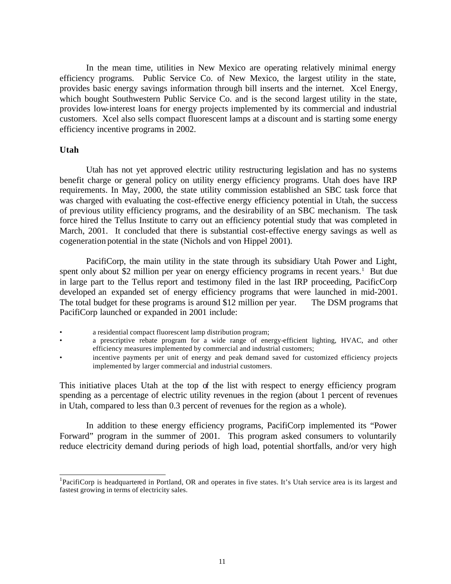In the mean time, utilities in New Mexico are operating relatively minimal energy efficiency programs. Public Service Co. of New Mexico, the largest utility in the state, provides basic energy savings information through bill inserts and the internet. Xcel Energy, which bought Southwestern Public Service Co. and is the second largest utility in the state, provides low-interest loans for energy projects implemented by its commercial and industrial customers. Xcel also sells compact fluorescent lamps at a discount and is starting some energy efficiency incentive programs in 2002.

#### **Utah**

l

Utah has not yet approved electric utility restructuring legislation and has no systems benefit charge or general policy on utility energy efficiency programs. Utah does have IRP requirements. In May, 2000, the state utility commission established an SBC task force that was charged with evaluating the cost-effective energy efficiency potential in Utah, the success of previous utility efficiency programs, and the desirability of an SBC mechanism. The task force hired the Tellus Institute to carry out an efficiency potential study that was completed in March, 2001. It concluded that there is substantial cost-effective energy savings as well as cogeneration potential in the state (Nichols and von Hippel 2001).

PacifiCorp, the main utility in the state through its subsidiary Utah Power and Light, spent only about \$2 million per year on energy efficiency programs in recent years.<sup>1</sup> But due in large part to the Tellus report and testimony filed in the last IRP proceeding, PacificCorp developed an expanded set of energy efficiency programs that were launched in mid-2001. The total budget for these programs is around \$12 million per year. The DSM programs that PacifiCorp launched or expanded in 2001 include:

a residential compact fluorescent lamp distribution program;

- a prescriptive rebate program for a wide range of energy-efficient lighting, HVAC, and other efficiency measures implemented by commercial and industrial customers;
- incentive payments per unit of energy and peak demand saved for customized efficiency projects implemented by larger commercial and industrial customers.

This initiative places Utah at the top of the list with respect to energy efficiency program spending as a percentage of electric utility revenues in the region (about 1 percent of revenues in Utah, compared to less than 0.3 percent of revenues for the region as a whole).

In addition to these energy efficiency programs, PacifiCorp implemented its "Power Forward" program in the summer of 2001. This program asked consumers to voluntarily reduce electricity demand during periods of high load, potential shortfalls, and/or very high

<sup>&</sup>lt;sup>1</sup>PacifiCorp is headquartered in Portland, OR and operates in five states. It's Utah service area is its largest and fastest growing in terms of electricity sales.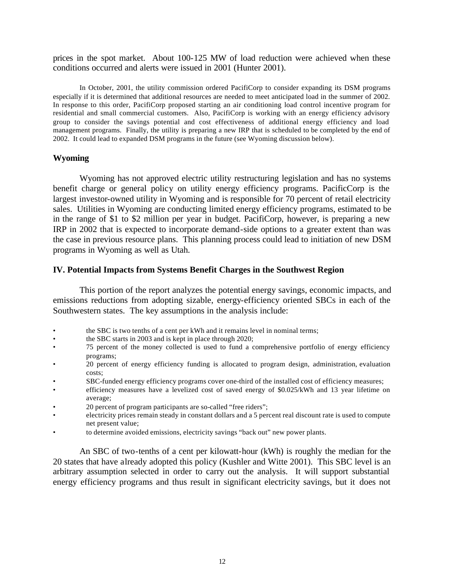prices in the spot market. About 100-125 MW of load reduction were achieved when these conditions occurred and alerts were issued in 2001 (Hunter 2001).

In October, 2001, the utility commission ordered PacifiCorp to consider expanding its DSM programs especially if it is determined that additional resources are needed to meet anticipated load in the summer of 2002. In response to this order, PacifiCorp proposed starting an air conditioning load control incentive program for residential and small commercial customers. Also, PacifiCorp is working with an energy efficiency advisory group to consider the savings potential and cost effectiveness of additional energy efficiency and load management programs. Finally, the utility is preparing a new IRP that is scheduled to be completed by the end of 2002. It could lead to expanded DSM programs in the future (see Wyoming discussion below).

### **Wyoming**

Wyoming has not approved electric utility restructuring legislation and has no systems benefit charge or general policy on utility energy efficiency programs. PacificCorp is the largest investor-owned utility in Wyoming and is responsible for 70 percent of retail electricity sales. Utilities in Wyoming are conducting limited energy efficiency programs, estimated to be in the range of \$1 to \$2 million per year in budget. PacifiCorp, however, is preparing a new IRP in 2002 that is expected to incorporate demand-side options to a greater extent than was the case in previous resource plans. This planning process could lead to initiation of new DSM programs in Wyoming as well as Utah.

#### **IV. Potential Impacts from Systems Benefit Charges in the Southwest Region**

This portion of the report analyzes the potential energy savings, economic impacts, and emissions reductions from adopting sizable, energy-efficiency oriented SBCs in each of the Southwestern states. The key assumptions in the analysis include:

- the SBC is two tenths of a cent per kWh and it remains level in nominal terms;
- the SBC starts in 2003 and is kept in place through 2020;
- 75 percent of the money collected is used to fund a comprehensive portfolio of energy efficiency programs;
- 20 percent of energy efficiency funding is allocated to program design, administration, evaluation costs;
- SBC-funded energy efficiency programs cover one-third of the installed cost of efficiency measures;
- efficiency measures have a levelized cost of saved energy of \$0.025/kWh and 13 year lifetime on average;
- 20 percent of program participants are so-called "free riders";
- electricity prices remain steady in constant dollars and a 5 percent real discount rate is used to compute net present value;
- to determine avoided emissions, electricity savings "back out" new power plants.

An SBC of two-tenths of a cent per kilowatt-hour (kWh) is roughly the median for the 20 states that have already adopted this policy (Kushler and Witte 2001). This SBC level is an arbitrary assumption selected in order to carry out the analysis. It will support substantial energy efficiency programs and thus result in significant electricity savings, but it does not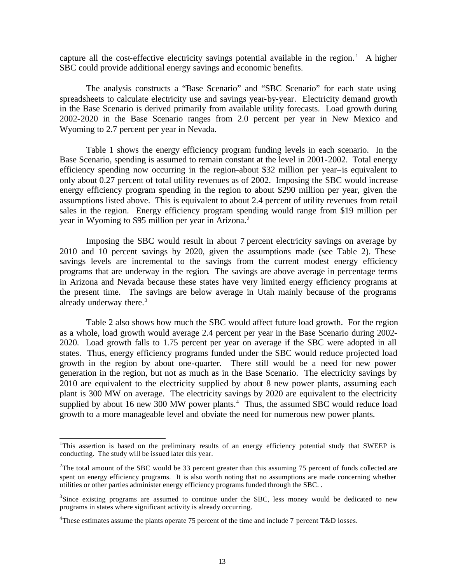capture all the cost-effective electricity savings potential available in the region.<sup>1</sup> A higher SBC could provide additional energy savings and economic benefits.

The analysis constructs a "Base Scenario" and "SBC Scenario" for each state using spreadsheets to calculate electricity use and savings year-by-year. Electricity demand growth in the Base Scenario is derived primarily from available utility forecasts. Load growth during 2002-2020 in the Base Scenario ranges from 2.0 percent per year in New Mexico and Wyoming to 2.7 percent per year in Nevada.

Table 1 shows the energy efficiency program funding levels in each scenario. In the Base Scenario, spending is assumed to remain constant at the level in 2001-2002. Total energy efficiency spending now occurring in the region–about \$32 million per year–is equivalent to only about 0.27 percent of total utility revenues as of 2002. Imposing the SBC would increase energy efficiency program spending in the region to about \$290 million per year, given the assumptions listed above. This is equivalent to about 2.4 percent of utility revenues from retail sales in the region. Energy efficiency program spending would range from \$19 million per year in Wyoming to \$95 million per year in Arizona.<sup>2</sup>

Imposing the SBC would result in about 7 percent electricity savings on average by 2010 and 10 percent savings by 2020, given the assumptions made (see Table 2). These savings levels are incremental to the savings from the current modest energy efficiency programs that are underway in the region. The savings are above average in percentage terms in Arizona and Nevada because these states have very limited energy efficiency programs at the present time. The savings are below average in Utah mainly because of the programs already underway there.<sup>3</sup>

Table 2 also shows how much the SBC would affect future load growth. For the region as a whole, load growth would average 2.4 percent per year in the Base Scenario during 2002- 2020. Load growth falls to 1.75 percent per year on average if the SBC were adopted in all states. Thus, energy efficiency programs funded under the SBC would reduce projected load growth in the region by about one-quarter. There still would be a need for new power generation in the region, but not as much as in the Base Scenario. The electricity savings by 2010 are equivalent to the electricity supplied by about 8 new power plants, assuming each plant is 300 MW on average. The electricity savings by 2020 are equivalent to the electricity supplied by about 16 new 300 MW power plants.<sup>4</sup> Thus, the assumed SBC would reduce load growth to a more manageable level and obviate the need for numerous new power plants.

l

<sup>&</sup>lt;sup>1</sup>This assertion is based on the preliminary results of an energy efficiency potential study that SWEEP is conducting. The study will be issued later this year.

<sup>&</sup>lt;sup>2</sup>The total amount of the SBC would be 33 percent greater than this assuming 75 percent of funds collected are spent on energy efficiency programs. It is also worth noting that no assumptions are made concerning whether utilities or other parties administer energy efficiency programs funded through the SBC. .

 $3$ Since existing programs are assumed to continue under the SBC, less money would be dedicated to new programs in states where significant activity is already occurring.

<sup>&</sup>lt;sup>4</sup>These estimates assume the plants operate 75 percent of the time and include 7 percent T&D losses.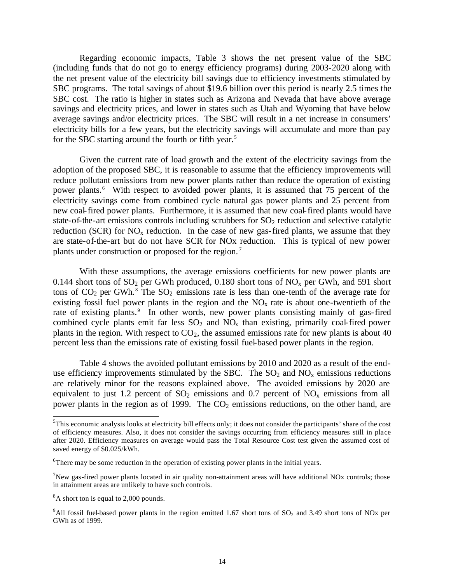Regarding economic impacts, Table 3 shows the net present value of the SBC (including funds that do not go to energy efficiency programs) during 2003-2020 along with the net present value of the electricity bill savings due to efficiency investments stimulated by SBC programs. The total savings of about \$19.6 billion over this period is nearly 2.5 times the SBC cost. The ratio is higher in states such as Arizona and Nevada that have above average savings and electricity prices, and lower in states such as Utah and Wyoming that have below average savings and/or electricity prices. The SBC will result in a net increase in consumers' electricity bills for a few years, but the electricity savings will accumulate and more than pay for the SBC starting around the fourth or fifth year.<sup>5</sup>

Given the current rate of load growth and the extent of the electricity savings from the adoption of the proposed SBC, it is reasonable to assume that the efficiency improvements will reduce pollutant emissions from new power plants rather than reduce the operation of existing power plants.<sup>6</sup> With respect to avoided power plants, it is assumed that 75 percent of the electricity savings come from combined cycle natural gas power plants and 25 percent from new coal-fired power plants. Furthermore, it is assumed that new coal-fired plants would have state-of-the-art emissions controls including scrubbers for  $SO<sub>2</sub>$  reduction and selective catalytic reduction (SCR) for  $NO<sub>x</sub>$  reduction. In the case of new gas-fired plants, we assume that they are state-of-the-art but do not have SCR for NOx reduction. This is typical of new power plants under construction or proposed for the region. <sup>7</sup>

With these assumptions, the average emissions coefficients for new power plants are 0.144 short tons of  $SO_2$  per GWh produced, 0.180 short tons of  $NO_x$  per GWh, and 591 short tons of  $CO_2$  per GWh.<sup>8</sup> The  $SO_2$  emissions rate is less than one-tenth of the average rate for existing fossil fuel power plants in the region and the  $NO<sub>x</sub>$  rate is about one-twentieth of the rate of existing plants.<sup>9</sup> In other words, new power plants consisting mainly of gas-fired combined cycle plants emit far less  $SO_2$  and  $NO<sub>x</sub>$  than existing, primarily coal-fired power plants in the region. With respect to  $CO<sub>2</sub>$ , the assumed emissions rate for new plants is about 40 percent less than the emissions rate of existing fossil fuel-based power plants in the region.

Table 4 shows the avoided pollutant emissions by 2010 and 2020 as a result of the enduse efficiency improvements stimulated by the SBC. The  $SO<sub>2</sub>$  and  $NO<sub>x</sub>$  emissions reductions are relatively minor for the reasons explained above. The avoided emissions by 2020 are equivalent to just 1.2 percent of  $SO_2$  emissions and 0.7 percent of  $NO_x$  emissions from all power plants in the region as of 1999. The  $CO<sub>2</sub>$  emissions reductions, on the other hand, are

l

<sup>&</sup>lt;sup>5</sup>This economic analysis looks at electricity bill effects only; it does not consider the participants' share of the cost of efficiency measures. Also, it does not consider the savings occurring from efficiency measures still in place after 2020. Efficiency measures on average would pass the Total Resource Cost test given the assumed cost of saved energy of \$0.025/kWh.

 $6$ There may be some reduction in the operation of existing power plants in the initial years.

 $7$ New gas-fired power plants located in air quality non-attainment areas will have additional NOx controls; those in attainment areas are unlikely to have such controls.

<sup>&</sup>lt;sup>8</sup>A short ton is equal to 2,000 pounds.

 $9$ All fossil fuel-based power plants in the region emitted 1.67 short tons of SO<sub>2</sub> and 3.49 short tons of NOx per GWh as of 1999.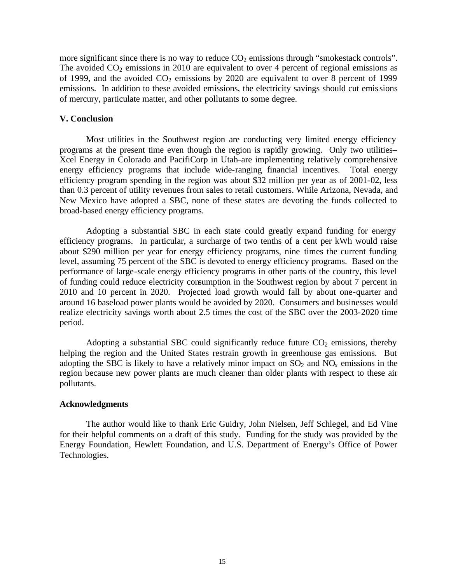more significant since there is no way to reduce  $CO<sub>2</sub>$  emissions through "smokestack controls". The avoided  $CO<sub>2</sub>$  emissions in 2010 are equivalent to over 4 percent of regional emissions as of 1999, and the avoided  $CO<sub>2</sub>$  emissions by 2020 are equivalent to over 8 percent of 1999 emissions. In addition to these avoided emissions, the electricity savings should cut emissions of mercury, particulate matter, and other pollutants to some degree.

#### **V. Conclusion**

Most utilities in the Southwest region are conducting very limited energy efficiency programs at the present time even though the region is rapidly growing. Only two utilities– Xcel Energy in Colorado and PacifiCorp in Utah–are implementing relatively comprehensive energy efficiency programs that include wide-ranging financial incentives. Total energy efficiency program spending in the region was about \$32 million per year as of 2001-02, less than 0.3 percent of utility revenues from sales to retail customers. While Arizona, Nevada, and New Mexico have adopted a SBC, none of these states are devoting the funds collected to broad-based energy efficiency programs.

Adopting a substantial SBC in each state could greatly expand funding for energy efficiency programs. In particular, a surcharge of two tenths of a cent per kWh would raise about \$290 million per year for energy efficiency programs, nine times the current funding level, assuming 75 percent of the SBC is devoted to energy efficiency programs. Based on the performance of large-scale energy efficiency programs in other parts of the country, this level of funding could reduce electricity consumption in the Southwest region by about 7 percent in 2010 and 10 percent in 2020. Projected load growth would fall by about one-quarter and around 16 baseload power plants would be avoided by 2020. Consumers and businesses would realize electricity savings worth about 2.5 times the cost of the SBC over the 2003-2020 time period.

Adopting a substantial SBC could significantly reduce future  $CO<sub>2</sub>$  emissions, thereby helping the region and the United States restrain growth in greenhouse gas emissions. But adopting the SBC is likely to have a relatively minor impact on  $SO_2$  and  $NO<sub>x</sub>$  emissions in the region because new power plants are much cleaner than older plants with respect to these air pollutants.

#### **Acknowledgments**

The author would like to thank Eric Guidry, John Nielsen, Jeff Schlegel, and Ed Vine for their helpful comments on a draft of this study. Funding for the study was provided by the Energy Foundation, Hewlett Foundation, and U.S. Department of Energy's Office of Power Technologies.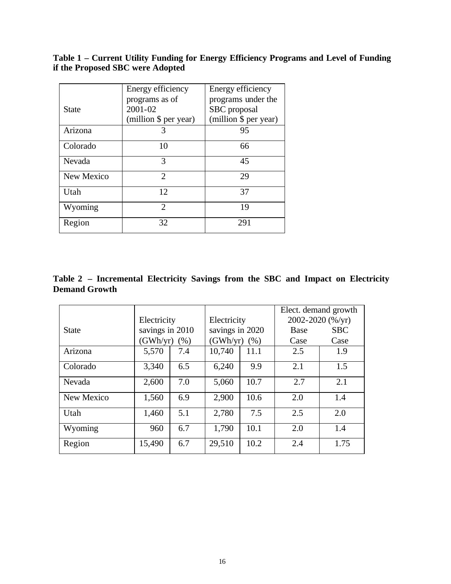## **Table 1 – Current Utility Funding for Energy Efficiency Programs and Level of Funding if the Proposed SBC were Adopted**

|              | Energy efficiency           | Energy efficiency     |
|--------------|-----------------------------|-----------------------|
|              | programs as of              | programs under the    |
| <b>State</b> | 2001-02                     | SBC proposal          |
|              | (million \$ per year)       | (million \$ per year) |
| Arizona      | 3                           | 95                    |
| Colorado     | 10                          | 66                    |
| Nevada       | 3                           | 45                    |
| New Mexico   | $\mathcal{D}_{\mathcal{L}}$ | 29                    |
| Utah         | 12                          | 37                    |
| Wyoming      | $\mathfrak{D}$              | 19                    |
| Region       | 32                          | 291                   |

# **Table 2 – Incremental Electricity Savings from the SBC and Impact on Electricity Demand Growth**

|              |                 |      |                 |                  | Elect. demand growth |            |  |
|--------------|-----------------|------|-----------------|------------------|----------------------|------------|--|
|              | Electricity     |      | Electricity     |                  | 2002-2020 (%/yr)     |            |  |
| <b>State</b> | savings in 2010 |      | savings in 2020 |                  | <b>Base</b>          | <b>SBC</b> |  |
|              | (GWh/yr)        | (% ) |                 | (GWh/yr)<br>(% ) |                      | Case       |  |
| Arizona      | 5,570           | 7.4  | 10,740          | 11.1             | 2.5                  | 1.9        |  |
| Colorado     | 3,340           | 6.5  | 6,240           | 9.9              | 2.1                  | 1.5        |  |
| Nevada       | 2,600           | 7.0  | 5,060           | 10.7             | 2.7                  | 2.1        |  |
| New Mexico   | 1,560           | 6.9  | 2,900           | 10.6             | 2.0                  | 1.4        |  |
| Utah         | 1,460           | 5.1  | 2,780           | 7.5              | 2.5                  | 2.0        |  |
| Wyoming      | 960             | 6.7  | 1,790           | 10.1             | 2.0                  | 1.4        |  |
| Region       | 15,490          | 6.7  | 29,510          | 10.2             | 2.4                  | 1.75       |  |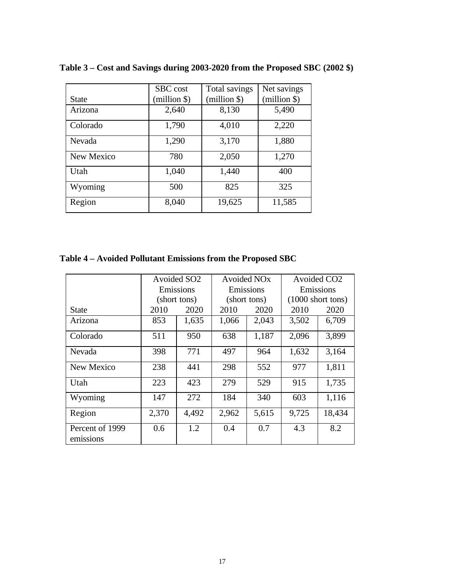|              | SBC cost     | Total savings | Net savings  |
|--------------|--------------|---------------|--------------|
| <b>State</b> | (million \$) | (million \$)  | $(million \$ |
| Arizona      | 2,640        | 8,130         | 5,490        |
| Colorado     | 1,790        | 4,010         | 2,220        |
| Nevada       | 1,290        | 3,170         | 1,880        |
| New Mexico   | 780          | 2,050         | 1,270        |
| Utah         | 1,040        | 1,440         | 400          |
| Wyoming      | 500          | 825           | 325          |
| Region       | 8,040        | 19,625        | 11,585       |

**Table 3 – Cost and Savings during 2003-2020 from the Proposed SBC (2002 \$)** 

# **Table 4 – Avoided Pollutant Emissions from the Proposed SBC**

|                              | Avoided SO <sub>2</sub> |              | Avoided NO <sub>x</sub> |           | Avoided CO <sub>2</sub>     |        |  |
|------------------------------|-------------------------|--------------|-------------------------|-----------|-----------------------------|--------|--|
|                              | Emissions<br>Emissions  |              |                         | Emissions |                             |        |  |
|                              |                         | (short tons) | (short tons)            |           | $(1000 \text{ short tons})$ |        |  |
| <b>State</b>                 | 2010                    | 2020         | 2010                    | 2020      | 2010                        | 2020   |  |
| Arizona                      | 853                     | 1,635        | 1,066                   | 2,043     | 3,502                       | 6,709  |  |
| Colorado                     | 511                     | 950          | 638                     | 1,187     | 2,096                       | 3,899  |  |
| Nevada                       | 398                     | 771          | 497                     | 964       | 1,632                       | 3,164  |  |
| New Mexico                   | 238                     | 441          | 298                     | 552       | 977                         | 1,811  |  |
| Utah                         | 223                     | 423          | 279                     | 529       | 915                         | 1,735  |  |
| Wyoming                      | 147                     | 272          | 184                     | 340       | 603                         | 1,116  |  |
| Region                       | 2,370                   | 4,492        | 2,962                   | 5,615     | 9,725                       | 18,434 |  |
| Percent of 1999<br>emissions | 0.6                     | 1.2          | 0.4                     | 0.7       | 4.3                         | 8.2    |  |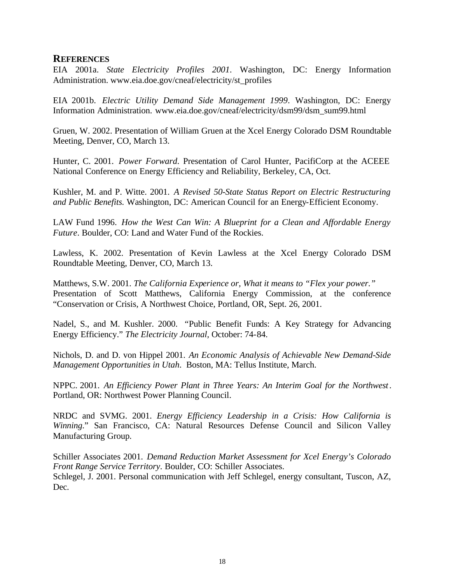# **REFERENCES**

EIA 2001a. *State Electricity Profiles 2001*. Washington, DC: Energy Information Administration. www.eia.doe.gov/cneaf/electricity/st\_profiles

EIA 2001b. *Electric Utility Demand Side Management 1999*. Washington, DC: Energy Information Administration. www.eia.doe.gov/cneaf/electricity/dsm99/dsm\_sum99.html

Gruen, W. 2002. Presentation of William Gruen at the Xcel Energy Colorado DSM Roundtable Meeting, Denver, CO, March 13.

Hunter, C. 2001. *Power Forward*. Presentation of Carol Hunter, PacifiCorp at the ACEEE National Conference on Energy Efficiency and Reliability, Berkeley, CA, Oct.

Kushler, M. and P. Witte. 2001. *A Revised 50-State Status Report on Electric Restructuring and Public Benefits.* Washington, DC: American Council for an Energy-Efficient Economy.

LAW Fund 1996. *How the West Can Win: A Blueprint for a Clean and Affordable Energy Future*. Boulder, CO: Land and Water Fund of the Rockies.

Lawless, K. 2002. Presentation of Kevin Lawless at the Xcel Energy Colorado DSM Roundtable Meeting, Denver, CO, March 13.

Matthews, S.W. 2001. *The California Experience or, What it means to "Flex your power."* Presentation of Scott Matthews, California Energy Commission, at the conference "Conservation or Crisis, A Northwest Choice, Portland, OR, Sept. 26, 2001.

Nadel, S., and M. Kushler. 2000. *"*Public Benefit Funds: A Key Strategy for Advancing Energy Efficiency." *The Electricity Journal,* October: 74-84.

Nichols, D. and D. von Hippel 2001. *An Economic Analysis of Achievable New Demand-Side Management Opportunities in Utah*. Boston, MA: Tellus Institute, March.

NPPC. 2001. *An Efficiency Power Plant in Three Years: An Interim Goal for the Northwest*. Portland, OR: Northwest Power Planning Council.

NRDC and SVMG. 2001. *Energy Efficiency Leadership in a Crisis: How California is Winning*." San Francisco, CA: Natural Resources Defense Council and Silicon Valley Manufacturing Group.

Schiller Associates 2001. *Demand Reduction Market Assessment for Xcel Energy's Colorado Front Range Service Territory*. Boulder, CO: Schiller Associates. Schlegel, J. 2001. Personal communication with Jeff Schlegel, energy consultant, Tuscon, AZ, Dec.